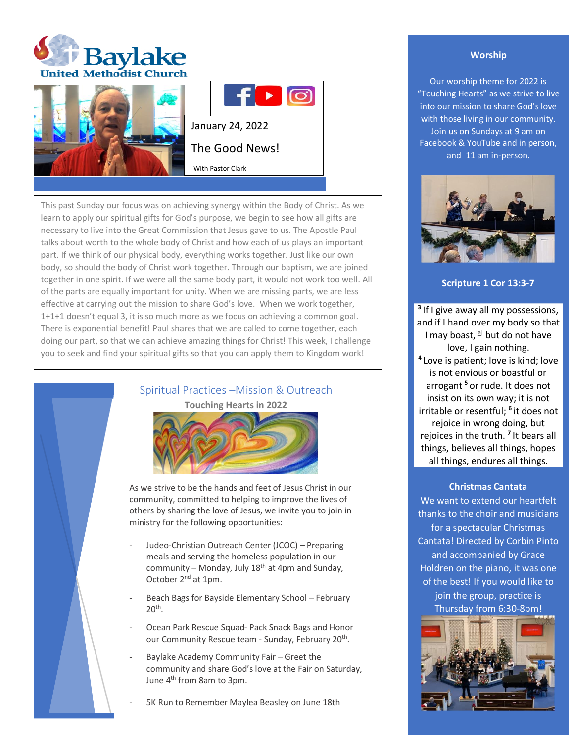





This past Sunday our focus was on achieving synergy within the Body of Christ. As we learn to apply our spiritual gifts for God's purpose, we begin to see how all gifts are necessary to live into the Great Commission that Jesus gave to us. The Apostle Paul talks about worth to the whole body of Christ and how each of us plays an important part. If we think of our physical body, everything works together. Just like our own body, so should the body of Christ work together. Through our baptism, we are joined together in one spirit. If we were all the same body part, it would not work too well. All of the parts are equally important for unity. When we are missing parts, we are less effective at carrying out the mission to share God's love. When we work together, 1+1+1 doesn't equal 3, it is so much more as we focus on achieving a common goal. There is exponential benefit! Paul shares that we are called to come together, each doing our part, so that we can achieve amazing things for Christ! This week, I challenge you to seek and find your spiritual gifts so that you can apply them to Kingdom work!

> Spiritual Practices –Mission & Outreach **Touching Hearts in 2022**



As we strive to be the hands and feet of Jesus Christ in our community, committed to helping to improve the lives of others by sharing the love of Jesus, we invite you to join in ministry for the following opportunities:

- Judeo-Christian Outreach Center (JCOC) Preparing meals and serving the homeless population in our community – Monday, July  $18<sup>th</sup>$  at 4pm and Sunday, October 2nd at 1pm.
- Beach Bags for Bayside Elementary School February  $20<sup>th</sup>$ .
- Ocean Park Rescue Squad- Pack Snack Bags and Honor our Community Rescue team - Sunday, February 20<sup>th</sup>.
- Baylake Academy Community Fair Greet the community and share God's love at the Fair on Saturday, June 4th from 8am to 3pm.

5K Run to Remember Maylea Beasley on June 18th

## **Worship**

Our worship theme for 2022 is "Touching Hearts" as we strive to live into our mission to share God's love with those living in our community. Join us on Sundays at 9 am on Facebook & YouTube and in person, and 11 am in-person.



## **Scripture 1 Cor 13:3-7**

**3** If I give away all my possessions, and if I hand over my body so that I may boast, [\[a\]](https://www.biblegateway.com/passage/?search=1+Corinthians+13%3A1-13&version=NRSV#fen-NRSV-28653a) but do not have love, I gain nothing. **4** Love is patient; love is kind; love is not envious or boastful or arrogant **<sup>5</sup>** or rude. It does not insist on its own way; it is not irritable or resentful; **<sup>6</sup>** it does not rejoice in wrong doing, but rejoices in the truth. **<sup>7</sup>** It bears all things, believes all things, hopes all things, endures all things.

### **Christmas Cantata**

We want to extend our heartfelt thanks to the choir and musicians for a spectacular Christmas Cantata! Directed by Corbin Pinto and accompanied by Grace Holdren on the piano, it was one of the best! If you would like to join the group, practice is Thursday from 6:30-8pm!